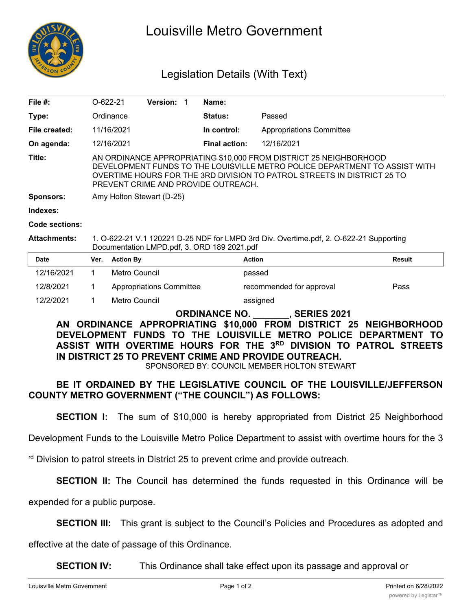

# Louisville Metro Government

## Legislation Details (With Text)

| File #:               |                                                                                                                                                                                                                                                                   | $O-622-21$       | <b>Version:</b>                 | 1 | Name:                |                                 |               |
|-----------------------|-------------------------------------------------------------------------------------------------------------------------------------------------------------------------------------------------------------------------------------------------------------------|------------------|---------------------------------|---|----------------------|---------------------------------|---------------|
| Type:                 |                                                                                                                                                                                                                                                                   | Ordinance        |                                 |   | <b>Status:</b>       | Passed                          |               |
| File created:         |                                                                                                                                                                                                                                                                   | 11/16/2021       |                                 |   | In control:          | <b>Appropriations Committee</b> |               |
| On agenda:            |                                                                                                                                                                                                                                                                   | 12/16/2021       |                                 |   | <b>Final action:</b> | 12/16/2021                      |               |
| Title:                | AN ORDINANCE APPROPRIATING \$10,000 FROM DISTRICT 25 NEIGHBORHOOD<br>DEVELOPMENT FUNDS TO THE LOUISVILLE METRO POLICE DEPARTMENT TO ASSIST WITH<br>OVERTIME HOURS FOR THE 3RD DIVISION TO PATROL STREETS IN DISTRICT 25 TO<br>PREVENT CRIME AND PROVIDE OUTREACH. |                  |                                 |   |                      |                                 |               |
| <b>Sponsors:</b>      | Amy Holton Stewart (D-25)                                                                                                                                                                                                                                         |                  |                                 |   |                      |                                 |               |
| Indexes:              |                                                                                                                                                                                                                                                                   |                  |                                 |   |                      |                                 |               |
| <b>Code sections:</b> |                                                                                                                                                                                                                                                                   |                  |                                 |   |                      |                                 |               |
| Attachments:          | 1. O-622-21 V.1 120221 D-25 NDF for LMPD 3rd Div. Overtime.pdf, 2. O-622-21 Supporting<br>Documentation LMPD.pdf, 3. ORD 189 2021.pdf                                                                                                                             |                  |                                 |   |                      |                                 |               |
| <b>Date</b>           | Ver.                                                                                                                                                                                                                                                              | <b>Action By</b> |                                 |   |                      | <b>Action</b>                   | <b>Result</b> |
| 12/16/2021            | 1                                                                                                                                                                                                                                                                 | Metro Council    |                                 |   |                      | passed                          |               |
| 12/8/2021             | 1                                                                                                                                                                                                                                                                 |                  | <b>Appropriations Committee</b> |   |                      | recommended for approval        | Pass          |
|                       |                                                                                                                                                                                                                                                                   |                  |                                 |   |                      |                                 |               |

## **ORDINANCE NO. \_\_\_\_\_\_\_, SERIES 2021**

### **AN ORDINANCE APPROPRIATING \$10,000 FROM DISTRICT 25 NEIGHBORHOOD DEVELOPMENT FUNDS TO THE LOUISVILLE METRO POLICE DEPARTMENT TO ASSIST WITH OVERTIME HOURS FOR THE 3RD DIVISION TO PATROL STREETS IN DISTRICT 25 TO PREVENT CRIME AND PROVIDE OUTREACH.**

SPONSORED BY: COUNCIL MEMBER HOLTON STEWART

#### **BE IT ORDAINED BY THE LEGISLATIVE COUNCIL OF THE LOUISVILLE/JEFFERSON COUNTY METRO GOVERNMENT ("THE COUNCIL") AS FOLLOWS:**

**SECTION I:** The sum of \$10,000 is hereby appropriated from District 25 Neighborhood

Development Funds to the Louisville Metro Police Department to assist with overtime hours for the 3

rd Division to patrol streets in District 25 to prevent crime and provide outreach.

12/2/2021 1 Metro Council assigned

**SECTION II:** The Council has determined the funds requested in this Ordinance will be

expended for a public purpose.

**SECTION III:** This grant is subject to the Council's Policies and Procedures as adopted and

effective at the date of passage of this Ordinance.

**SECTION IV:** This Ordinance shall take effect upon its passage and approval or